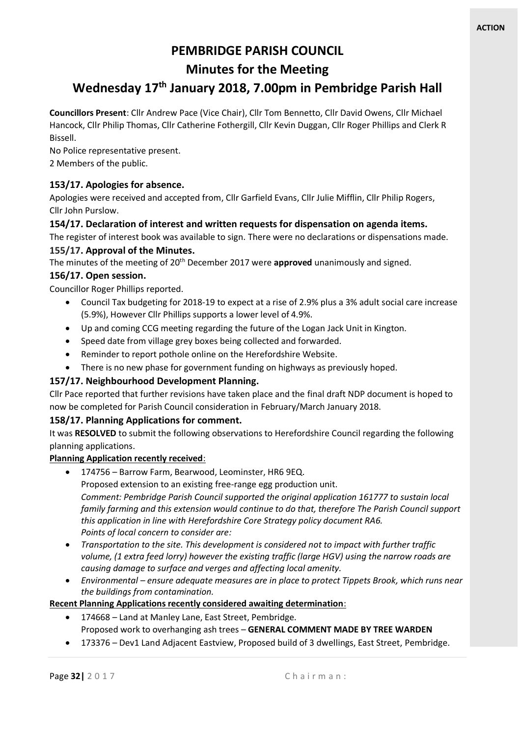## **PEMBRIDGE PARISH COUNCIL**

## **Minutes for the Meeting**

# **Wednesday 17th January 2018, 7.00pm in Pembridge Parish Hall**

**Councillors Present**: Cllr Andrew Pace (Vice Chair), Cllr Tom Bennetto, Cllr David Owens, Cllr Michael Hancock, Cllr Philip Thomas, Cllr Catherine Fothergill, Cllr Kevin Duggan, Cllr Roger Phillips and Clerk R Bissell.

No Police representative present. 2 Members of the public.

## **153/17. Apologies for absence.**

Apologies were received and accepted from, Cllr Garfield Evans, Cllr Julie Mifflin, Cllr Philip Rogers, Cllr John Purslow.

## **154/17. Declaration of interest and written requests for dispensation on agenda items.**

The register of interest book was available to sign. There were no declarations or dispensations made.

## **155/17. Approval of the Minutes.**

The minutes of the meeting of 20th December 2017 were **approved** unanimously and signed.

## **156/17. Open session.**

Councillor Roger Phillips reported.

- Council Tax budgeting for 2018-19 to expect at a rise of 2.9% plus a 3% adult social care increase (5.9%), However Cllr Phillips supports a lower level of 4.9%.
- Up and coming CCG meeting regarding the future of the Logan Jack Unit in Kington.
- Speed date from village grey boxes being collected and forwarded.
- Reminder to report pothole online on the Herefordshire Website.
- There is no new phase for government funding on highways as previously hoped.

## **157/17. Neighbourhood Development Planning.**

Cllr Pace reported that further revisions have taken place and the final draft NDP document is hoped to now be completed for Parish Council consideration in February/March January 2018.

## **158/17. Planning Applications for comment.**

It was **RESOLVED** to submit the following observations to Herefordshire Council regarding the following planning applications.

## **Planning Application recently received**:

- 174756 Barrow Farm, Bearwood, Leominster, HR6 9EQ. Proposed extension to an existing free-range egg production unit. *Comment: Pembridge Parish Council supported the original application 161777 to sustain local family farming and this extension would continue to do that, therefore The Parish Council support this application in line with Herefordshire Core Strategy policy document RA6. Points of local concern to consider are:*
- *Transportation to the site. This development is considered not to impact with further traffic volume, (1 extra feed lorry) however the existing traffic (large HGV) using the narrow roads are causing damage to surface and verges and affecting local amenity.*
- *Environmental – ensure adequate measures are in place to protect Tippets Brook, which runs near the buildings from contamination.*

## **Recent Planning Applications recently considered awaiting determination**:

- 174668 Land at Manley Lane, East Street, Pembridge. Proposed work to overhanging ash trees – **GENERAL COMMENT MADE BY TREE WARDEN**
- 173376 Dev1 Land Adjacent Eastview, Proposed build of 3 dwellings, East Street, Pembridge.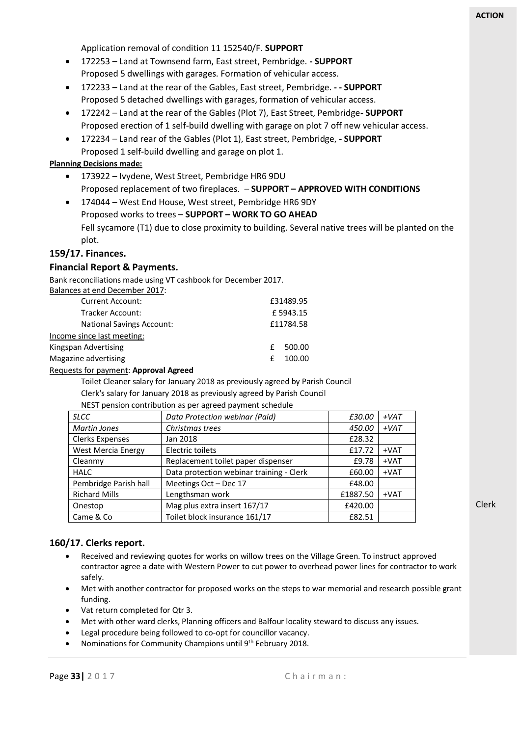Application removal of condition 11 152540/F. **SUPPORT** 

- 172253 Land at Townsend farm, East street, Pembridge. **- SUPPORT** Proposed 5 dwellings with garages. Formation of vehicular access.
- 172233 Land at the rear of the Gables, East street, Pembridge. **- - SUPPORT** Proposed 5 detached dwellings with garages, formation of vehicular access.
- 172242 Land at the rear of the Gables (Plot 7), East Street, Pembridge**- SUPPORT** Proposed erection of 1 self-build dwelling with garage on plot 7 off new vehicular access.
- 172234 Land rear of the Gables (Plot 1), East street, Pembridge, **- SUPPORT** Proposed 1 self-build dwelling and garage on plot 1.

#### **Planning Decisions made:**

- 173922 Ivydene, West Street, Pembridge HR6 9DU Proposed replacement of two fireplaces. – **SUPPORT – APPROVED WITH CONDITIONS**
- 174044 West End House, West street, Pembridge HR6 9DY Proposed works to trees – **SUPPORT – WORK TO GO AHEAD** Fell sycamore (T1) due to close proximity to building. Several native trees will be planted on the plot.

#### **159/17. Finances.**

#### **Financial Report & Payments.**

Bank reconciliations made using VT cashbook for December 2017.

| Balances at end December 2017:   |          |           |  |
|----------------------------------|----------|-----------|--|
| <b>Current Account:</b>          |          | £31489.95 |  |
| <b>Tracker Account:</b>          | £5943.15 |           |  |
| <b>National Savings Account:</b> |          | £11784.58 |  |
| Income since last meeting:       |          |           |  |
| Kingspan Advertising             |          | 500.00    |  |
| Magazine advertising             |          | 100.00    |  |
|                                  |          |           |  |

#### Requests for payment: **Approval Agreed**

Toilet Cleaner salary for January 2018 as previously agreed by Parish Council Clerk's salary for January 2018 as previously agreed by Parish Council

NEST pension contribution as per agreed payment schedule

| <b>SLCC</b>            | Data Protection webinar (Paid)           | £30.00   | $+VAT$ |
|------------------------|------------------------------------------|----------|--------|
| Martin Jones           | Christmas trees                          | 450.00   | $+VAT$ |
| <b>Clerks Expenses</b> | Jan 2018                                 | £28.32   |        |
| West Mercia Energy     | Electric toilets                         | £17.72   | $+VAT$ |
| Cleanmy                | Replacement toilet paper dispenser       | £9.78    | $+VAT$ |
| <b>HALC</b>            | Data protection webinar training - Clerk | £60.00   | $+VAT$ |
| Pembridge Parish hall  | Meetings Oct - Dec 17                    | £48.00   |        |
| <b>Richard Mills</b>   | Lengthsman work                          | £1887.50 | $+VAT$ |
| Onestop                | Mag plus extra insert 167/17             | £420.00  |        |
| Came & Co              | Toilet block insurance 161/17            | £82.51   |        |

Clerk

## **160/17. Clerks report.**

- Received and reviewing quotes for works on willow trees on the Village Green. To instruct approved contractor agree a date with Western Power to cut power to overhead power lines for contractor to work safely.
- Met with another contractor for proposed works on the steps to war memorial and research possible grant funding.
- Vat return completed for Qtr 3.
- Met with other ward clerks, Planning officers and Balfour locality steward to discuss any issues.
- Legal procedure being followed to co-opt for councillor vacancy.
- Nominations for Community Champions until 9th February 2018.